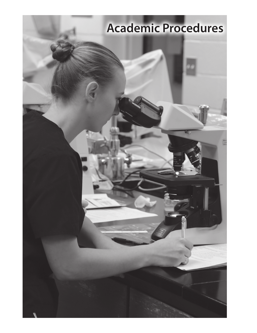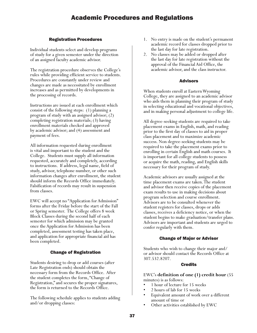# Registration Procedures

Individual students select and develop programs of study for a given semester under the direction of an assigned faculty academic advisor.

The registration procedure observes the College's rules while providing efficient service to students. Procedures are constantly under review and changes are made as necessitated by enrollment increases and as permitted by developments in the processing of records.

Instructions are issued at each enrollment which consist of the following steps: (1) planning a program of study with an assigned advisor; (2) completing registration materials; (3) having enrollment materials checked and approved by academic advisor; and (4) assessment and payment of fees.

All information requested during enrollment is vital and important to the student and the College. Students must supply all information requested, accurately and completely, according to instructions. If address, legal name, field of study, advisor, telephone number, or other such information changes after enrollment, the student should inform the Records Office immediately. Falsification of records may result in suspension from classes.

EWC will accept no "Application for Admission" forms after the Friday before the start of the Fall or Spring semester. The College offers 8 week Block Classes during the second half of each semester for which admission may be granted once the Application for Admission has been completed, assessment testing has taken place, and application for appropriate financial aid has been completed.

# Change of Registration

Students desiring to drop or add courses (after Late Registration ends) should obtain the necessary form from the Records Office. After the student completes the form, "Change of Registration," and secures the proper signatures, the form is returned to the Records Office.

The following schedule applies to students adding and/or dropping classes:

- 1. No entry is made on the student's permanent academic record for classes dropped prior to the last day for late registration.
- 2. No classes may be added or dropped after the last day for late registration without the approval of the Financial Aid Office, the academic advisor, and the class instructor.

# Advisors

When students enroll at Eastern Wyoming College, they are assigned to an academic advisor who aids them in planning their program of study in selecting educational and vocational objectives, and in making personal adjustment to college life.

All degree-seeking students are required to take placement exams in English, math, and reading prior to the first day of classes to aid in proper class placement and to maximize academic success. Non degree-seeking students may be required to take the placement exams prior to enrolling in certain English and math courses. It is important for all college students to possess or acquire the math, reading, and English skills necessary for their program of study.

Academic advisors are usually assigned at the time placement exams are taken. The student and advisor then receive copies of the placement exam results to use in making decisions about program selection and course enrollment. Advisors are to be consulted whenever the student registers for classes, drops or adds classes, receives a deficiency notice, or when the student begins to make graduation/transfer plans. Advisors are important and students are urged to confer regularly with them.

# Change of Major or Advisor

Students who wish to change their major and/ or advisor should contact the Records Office at 307.532.8207.

### **Credits**

EWC's **definition of one (1) credit hour** (55 minutes) is as follows:

- 1 hour of lecture for 15 weeks
- 2 hours of lab for 15 weeks
- Equivalent amount of work over a different
- amount of time or<br>
Other activities established by EWC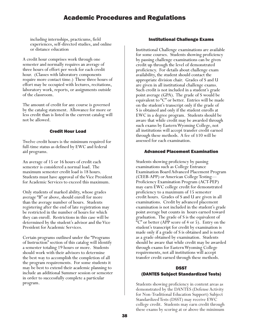including internships, practicums, field experiences, self-directed studies, and online or distance education

A credit hour comprises work through one semester and normally requires an average of three hours of effort per week for each credit hour. (Classes with laboratory components require more contact time.) These three hours of effort may be occupied with lectures, recitations, laboratory work, reports, or assignments outside of the classroom.

The amount of credit for any course is governed by the catalog statement. Allowance for more or less credit than is listed in the current catalog will not be allowed.

### Credit Hour Load

Twelve credit hours is the minimum required for full-time status as defined by EWC and federal aid programs.

An average of 15 or 16 hours of credit each semester is considered a normal load. The maximum semester credit load is 18 hours. Students must have approval of the Vice President for Academic Services to exceed this maximum.

Only students of marked ability, whose grades average "B" or above, should enroll for more than the average number of hours. Students registering after the end of late registration may be restricted in the number of hours for which they can enroll. Restrictions in this case will be determined by the student's advisor and the Vice President for Academic Services.

Certain programs outlined under the "Programs of Instruction" section of this catalog will identify a semester totaling 19 hours or more. Students should work with their advisors to determine the best way to accomplish the completion of all the program requirements. For some students it may be best to extend their academic planning to include an additional Summer session or semester in order to successfully complete a particular program.

### Institutional Challenge Exams

Institutional Challenge examinations are available for some courses. Students showing proficiency by passing challenge examinations can be given credit up through the level of demonstrated proficiency. For details about challenge exam availability, the student should contact the appropriate division chair. Grades of S and U are given in all institutional challenge exams. Such credit is not included in a student's grade point average (GPA). The grade of S would be equivalent to "C" or better. Entries will be made on the student's transcript only if the grade of S is obtained and only if the student enrolls at EWC in a degree program. Students should be aware that while credit may be awarded through such exams by Eastern Wyoming College, not all institutions will accept transfer credit earned through these methods. A fee of \$10 will be assessed for each examination.

### Advanced Placement Examination

Students showing proficiency by passing examinations such as College Entrance Examination Board Advanced Placement Program (CEEB-APP) or American College Testing— Proficiency Examination Program (ACT-PEP) may earn EWC college credit for demonstrated proficiency to a maximum of 15 semester credit hours. Grades of S and U are given in all examinations. Credit by advanced placement examination is not included in the student's grade point average but counts in hours earned toward graduation. The grade of S is the equivalent of "C" or better (APP score of 4 or 5). Entry on the student's transcript for credit by examination is made only if a grade of S is obtained and is noted as a grade obtained by examination. Students should be aware that while credit may be awarded through exams for Eastern Wyoming College requirements, not all institutions will accept transfer credit earned through these methods.

### DSST

### (DANTES Subject Standardized Tests)

Students showing proficiency in content areas as demonstrated by the DANTES (Defense Activity for Non-Traditional Education Support) Subject Standardized Tests (DSST) may receive EWC college credit. Students may earn credit through these exams by scoring at or above the minimum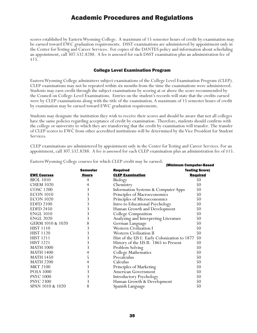scores established by Eastern Wyoming College. A maximum of 15 semester hours of credit by examination may be earned toward EWC graduation requirements. DSST examinations are administered by appointment only in the Center for Testing and Career Services. For copies of the DANTES policy and information about scheduling an appointment, call 307.532.8288. A fee is assessed for each DSST examination plus an administration fee of \$15.

### College Level Examination Program

Eastern Wyoming College administers subject examinations of the College Level Examination Program (CLEP). CLEP examinations may not be repeated within six months from the time the examinations were administered. Students may earn credit through the subject examinations by scoring at or above the score recommended by the Council on College-Level Examinations. Entries on the student's records will state that the credits earned were by CLEP examinations along with the title of the examination. A maximum of 15 semester hours of credit by examination may be earned toward EWC graduation requirements.

Students may designate the institution they wish to receive their scores and should be aware that not all colleges have the same policies regarding acceptance of credit by examination. Therefore, students should confirm with the college or university to which they are transferring that the credit by examination will transfer. The transfer of CLEP scores to EWC from other accredited institutions will be determined by the Vice President for Student Services.

CLEP examinations are administered by appointment only in the Center for Testing and Career Services. For an appointment, call 307.532.8288. A fee is assessed for each CLEP examination plus an administration fee of \$15.

|                    | <b>Semester</b> | (Minimum Computer-Based<br><b>Required</b>   | <b>Testing Score)</b> |
|--------------------|-----------------|----------------------------------------------|-----------------------|
| <b>EWC Courses</b> | <b>Hours</b>    | <b>CLEP Examination</b>                      | <b>Required</b>       |
| BIOL 1010          | 4               | Biology                                      | 50                    |
| <b>CHEM 1020</b>   | 4               | Chemistry                                    | 50                    |
| <b>COSC 1200</b>   | 3               | Information Systems & Computer Apps          | 50                    |
| <b>ECON 1010</b>   | 3               | Principles of Macroeconomics                 | 50                    |
| <b>ECON 1020</b>   | 3               | Principles of Microeconomics                 | 50                    |
| <b>EDFD 2100</b>   | 3               | Intro to Educational Psychology              | 50                    |
| EDFD 2450          | 3               | Human Growth and Development                 | 50                    |
| ENGL 1010          | 3               | College Composition                          | 50                    |
| ENGL 2020          | 3               | Analyzing and Interpreting Literature        | 50                    |
| GERM 1010 & 1020   | 8               | German Language                              | 50                    |
| <b>HIST 1110</b>   | 3               | Western Civilization I                       | 50                    |
| <b>HIST 1120</b>   | 3               | Western Civilization II                      | 50                    |
| HIST 1211          | 3               | Hist of the US I: Early Colonization to 1877 | 50                    |
| <b>HIST 1221</b>   | 3               | History of the US II: 1865 to Present        | 50                    |
| <b>MATH 1000</b>   | 3               | Problem Solving                              | 50                    |
| <b>MATH 1400</b>   | 4               | College Mathematics                          | 50                    |
| <b>MATH 1450</b>   | 5               | Precalculus                                  | 50                    |
| <b>MATH 2200</b>   | $\overline{4}$  | Calculus                                     | 50                    |
| <b>MKT 2100</b>    | 3               | Principles of Marketing                      | 50                    |
| <b>POLS 1000</b>   | 3               | American Government                          | 50                    |
| <b>PSYC 1000</b>   | 3               | Introductory Psychology                      | 50                    |
| <b>PSYC 2300</b>   | 3               | Human Growth & Development                   | 50                    |
| SPAN 1010 & 1020   | 8               | Spanish Language                             | 50                    |
|                    |                 |                                              |                       |

Eastern Wyoming College courses for which CLEP credit may be earned: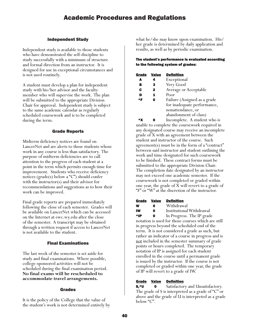# Independent Study

Independent study is available to those students who have demonstrated the self-discipline to study successfully with a minimum of structure and formal direction from an instructor. It is designed for use in exceptional circumstances and is not used routinely.

A student must develop a plan for independent study with his/her advisor and the faculty member who will supervise the work. The plan will be submitted to the appropriate Division Chair for approval. Independent study is subject to the same academic calendar as regularly scheduled coursework and is to be completed during the term.

# Grade Reports

Midterm deficiency notices are found on LancerNet and are alerts to those students whose work in any course is less than satisfactory. The purpose of midterm deficiencies are to call attention to the progress of each student at a point in the term which permits enough time for improvement. Students who receive deficiency notices ( $\text{grade}(s)$  below a "C") should confer with the instructor(s) and their advisor for recommendations and suggestions as to how their work can be improved.

Final grade reports are prepared immediately following the close of each semester. Grades will be available on LancerNet which can be accessed on the Internet at ewc.wy.edu after the close of the semester. A transcript may be obtained through a written request if access to LancerNet is not available to the student.

# Final Examinations

The last week of the semester is set aside for study and final examinations. Where possible, college-sponsored activities will not be scheduled during the final examination period. **No final exams will be rescheduled to accommodate travel arrangements.**

# Grades

It is the policy of the College that the value of the student's work is not determined entirely by what he/she may know upon examination. His/ her grade is determined by daily application and results, as well as by periodic examination.

### The student's performance is evaluated according to the following system of grades:

| Grade | Value        | <b>Definition</b>            |
|-------|--------------|------------------------------|
| A     | 4            | Exceptional                  |
| в     | 3            | Very Good                    |
| C     | $\mathbf{2}$ | Average or Acceptable        |
| D     | 1            | Poor                         |
| *F    |              | Failure (Assigned as a grade |
|       |              | for inadequate performance,  |
|       |              | nonattendance, or            |
|       |              | abandonment of class)        |

 \*X 0 Incomplete. A student who is unable to complete the coursework required in any designated course may receive an incomplete grade of X with an agreement between the student and instructor of the course. Such agreement(s) must be in the form of a "contract" between said instructor and student outlining the work and time designated for such coursework to be finished. These contract forms must be submitted to the appropriate Division Chair. The completion date designated by an instructor may not exceed one academic semester. If the coursework is not completed or graded within one year, the grade of X will revert to a grade of "F" or "W" at the discretion of the instructor.

| Grade | <b>Value</b> | <b>Definition</b> |
|-------|--------------|-------------------|
| w     | o            | Withdrawal        |
| IM    | Λ            | Instituting       |

IW 0 Institutional Withdrawal \*IP 0 In Progress. The IP grade notation is used for those courses which are still in progress beyond the scheduled end of the term. It is not considered a grade as such, but rather an indicator of a course in progress and is not included in the semester summary of grade points or hours completed. The temporary notation of IP is assigned for each student enrolled in the course until a permanent grade is issued by the instructor. If the course is not completed or graded within one year, the grade of IP will revert to a grade of IW.

# Grade Value Definition

**S**,\***U** 0 Satisfactory and Unsatisfactory. The grade of S is interpreted as a grade of "C" or above and the grade of U is interpreted as a grade below "C".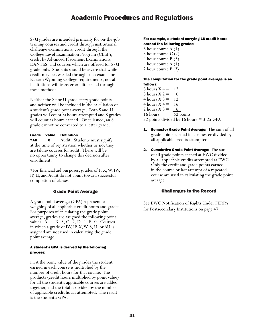S/U grades are intended primarily for on-the-job training courses and credit through institutional challenge examinations, credit through the College Level Examination Program (CLEP), credit by Advanced Placement Examinations, DANTES, and courses which are offered for S/U grade only. Students should be aware that while credit may be awarded through such exams for Eastern Wyoming College requirements, not all institutions will transfer credit earned through these methods.

Neither the S nor U grade carry grade points and neither will be included in the calculation of a student's grade point average. Both S and U grades will count as hours attempted and S grades will count as hours earned. Once issued, an S grade cannot be converted to a letter grade.

### Grade Value Definition

\*AU 0 Audit. Students must signify at the time of registration whether or not they are taking courses for audit. There will be no opportunity to change this decision after enrollment.

\*For financial aid purposes, grades of F, X, W, IW, IP, U, and Audit do not count toward successful completion of classes.

### Grade Point Average

A grade point average (GPA) represents a weighing of all applicable credit hours and grades. For purposes of calculating the grade point average, grades are assigned the following point values:  $A=4$ ,  $B=3$ ,  $C=2$ ,  $D=1$ ,  $F=0$ . Courses in which a grade of IW, IP, X, W, S, U, or AU is assigned are not used in calculating the grade point average.

### A student's GPA is derived by the following process:

First the point value of the grades the student earned in each course is multiplied by the number of credit hours for that course. The products (credit hours multiplied by point value) for all the student's applicable courses are added together, and the total is divided by the number of applicable credit hours attempted. The result is the student's GPA.

### For example, a student carrying 16 credit hours earned the following grades:

3 hour course A (4) 3 hour course C (2) 4 hour course B (3) 4 hour course A (4) 2 hour course B (3)

### The computation for the grade point average is as follows:

- $3$  hours  $X = 12$ 3 hours  $X = 6$ 4 hours  $X$  3 = 12 4 hours  $X = 16$ 2 hours  $X$  3 = 6 16 hours 52 points 52 points divided by 16 hours = 3.25 GPA
- 1. Semester Grade Point Average: The sum of all grade points earned in a semester divided by all applicable credits attempted.
- 2. Cumulative Grade Point Average: The sum of all grade points earned at EWC divided by all applicable credits attempted at EWC. Only the credit and grade points earned in the course or last attempt of a repeated course are used in calculating the grade point average.

### Challenges to the Record

See EWC Notification of Rights Under FERPA for Postsecondary Institutions on page 47.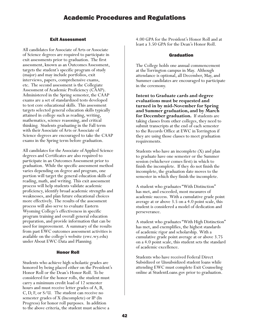# Exit Assessment

All candidates for Associate of Arts or Associate of Science degrees are required to participate in exit assessments prior to graduation. The first assessment, known as an Outcomes Assessment, targets the student's specific program of study (major) and may include portfolios, exit interviews, papers, comprehensive exams, etc. The second assessment is the Collegiate Assessment of Academic Proficiency (CAAP). Administered in the Spring semester, the CAAP exams are a set of standardized tests developed to test core educational skills. This assessment targets selected general education skills typically attained in college such as reading, writing, mathematics, science reasoning, and critical thinking. Students graduating in the Fall term with their Associate of Arts or Associate of Science degrees are encouraged to take the CAAP exams in the Spring term before graduation.

All candidates for the Associate of Applied Science degrees and Certificates are also required to participate in an Outcomes Assessment prior to graduation. While the specific assessment method varies depending on degree and program, one portion will target the general education skills of reading, math, and writing. This exit assessment process will help students validate academic proficiency, identify broad academic strengths and weaknesses, and plan future educational choices more effectively. The results of the assessment process will also serve to evaluate Eastern Wyoming College's effectiveness in specific program training and overall general education preparation, and provide information that can be used for improvement. A summary of the results from past EWC outcomes assessment activities is available on the college's website (ewc.wy.edu) under About EWC-Data and Planning.

### Honor Roll

Students who achieve high scholastic grades are honored by being placed either on the President's Honor Roll or the Dean's Honor Roll. To be considered for the honor rolls, the student must carry a minimum credit load of 12 semester hours and must receive letter grades of A, B, C, D, F, or S/U. The student can receive no semester grades of X (Incomplete) or IP (In Progress) for honor roll purposes. In addition to the above criteria, the student must achieve a

4.00 GPA for the President's Honor Roll and at least a 3.50 GPA for the Dean's Honor Roll.

### Graduation

The College holds one annual commencement at the Torrington campus in May. Although attendance is optional, all December, May, and Summer candidates are encouraged to participate in the ceremony.

**Intent to Graduate cards and degree evaluations must be requested and turned in by mid-November for Spring and Summer graduation, and by March for December graduation.** If students are taking classes from other colleges, they need to submit transcripts at the end of each semester to the Records Office at EWC in Torrington if they are using those classes to meet graduation requirements.

Students who have an incomplete (X) and plan to graduate have one semester or the Summer session (whichever comes first) in which to finish the incomplete. If they do not finish the incomplete, the graduation date moves to the semester in which they finish the incomplete.

A student who graduates "With Distinction" has met, and exceeded, most measures of academic success. With a cumulative grade point average at or above 3.5 on a 4.0 point scale, this student is considered a model of dedication and perseverance.

A student who graduates "With High Distinction" has met, and exemplifies, the highest standards of academic rigor and scholarship. With a cumulative grade point average at or above 3.75 on a 4.0 point scale, this student sets the standard of academic excellence.

Students who have received Federal Direct Subsidized or Unsubsidized student loans while attending EWC must complete Exit Counseling online at StudentLoans.gov prior to graduation.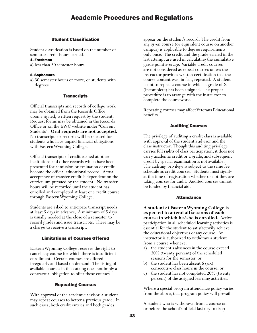### Student Classification

Student classification is based on the number of semester credit hours earned.

#### 1. Freshman

a) less than 30 semester hours

### 2. Sophomore

a) 30 semester hours or more, or students with degrees

### **Transcripts**

Official transcripts and records of college work may be obtained from the Records Office upon a signed, written request by the student. Request forms may be obtained in the Records Office or on the EWC website under "Current Students". **Oral requests are not accepted.** No transcripts or records will be released for students who have unpaid financial obligations with Eastern Wyoming College.

Official transcripts of credit earned at other institutions and other records which have been presented for admission or evaluation of credit become the official educational record. Actual acceptance of transfer credit is dependent on the curriculum pursued by the student. No transfer hours will be recorded until the student has enrolled and completed at least one credit course through Eastern Wyoming College.

Students are asked to anticipate transcript needs at least 5 days in advance. A minimum of 5 days is usually needed at the close of a semester to record grades and issue transcripts. There may be a charge to receive a transcript.

### Limitations of Courses Offered

Eastern Wyoming College reserves the right to cancel any course for which there is insufficient enrollment. Certain courses are offered irregularly and based on demand. The listing of available courses in this catalog does not imply a contractual obligation to offer these courses.

### Repeating Courses

With approval of the academic advisor, a student may repeat courses to better a previous grade. In such cases, both credit entries and both grades

appear on the student's record. The credit from any given course (or equivalent course on another campus) is applicable to degree requirements only once. The credit and the grade earned <u>in the</u> last attempt are used in calculating the cumulative grade point average. Variable credit courses are not considered as repeat courses unless the instructor provides written certification that the course content was, in fact, repeated. A student is not to repeat a course in which a grade of X (Incomplete) has been assigned. The proper procedure is to arrange with the instructor to complete the coursework.

Repeating courses may affect Veterans Educational benefits.

### Auditing Courses

The privilege of auditing a credit class is available with approval of the student's advisor and the class instructor. Though this auditing privilege carries full rights of class participation, it does not carry academic credit or a grade, and subsequent credit by special examination is not available. The auditing privilege is subject to the same fee schedule as credit courses. Students must signify at the time of registration whether or not they are taking courses for audit. Audited courses cannot be funded by financial aid.

#### Attendance

**A student at Eastern Wyoming College is expected to attend all sessions of each course in which he/she is enrolled.** Active participation in all scheduled learning activities is essential for the student to satisfactorily achieve the educational objectives of any course. An instructor is authorized to withdraw a student from a course whenever:

- a) the student's absences in the course exceed 20% (twenty percent) of the scheduled sessions for the semester, or
- b) the student has been absent 6 (six) consecutive class hours in the course, or
- c) the student has not completed 20% (twenty percent) of the assigned learning activities.

Where a special program attendance policy varies from the above, that program policy will prevail.

A student who is withdrawn from a course on or before the school's official last day to drop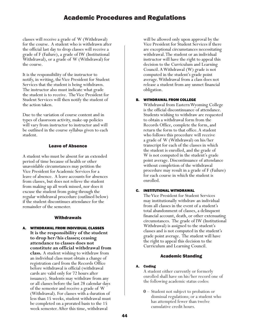classes will receive a grade of W (Withdrawal) for the course. A student who is withdrawn after the official last day to drop classes will receive a grade of F (Failure), a grade of IW (Institutional Withdrawal), or a grade of W (Withdrawal) for the course.

It is the responsibility of the instructor to notify, in writing, the Vice President for Student Services that the student is being withdrawn. The instructor also must indicate what grade the student is to receive. The Vice President for Student Services will then notify the student of the action taken.

Due to the variation of course content and in types of classroom activity, make-up policies will vary from instructor to instructor and will be outlined in the course syllabus given to each student.

# Leave of Absence

A student who must be absent for an extended period of time because of health or other unavoidable circumstances may petition the Vice President for Academic Services for a leave of absence. A leave accounts for absences from classes, but does not relieve the student from making up all work missed, nor does it excuse the student from going through the regular withdrawal procedure (outlined below) if the student discontinues attendance for the remainder of the semester.

### **Withdrawals**

A. WITHDRAWAL FROM INDIVIDUAL CLASSES **It is the responsibility of the student to drop her/his classes; ceasing attendance to classes does not constitute an official withdrawal from class.** A student wishing to withdraw from an individual class must obtain a change of registration card from the Records Office before withdrawal is official (withdrawal cards are valid only for 72 hours after issuance). Students may withdraw from any or all classes before the last 28 calendar days of the semester and receive a grade of W (Withdrawal). For classes with a duration of less than 15 weeks, student withdrawal must be completed on a prorated basis to the 15 week semester. After this time, withdrawal

will be allowed only upon approval by the Vice President for Student Services if there are exceptional circumstances necessitating withdrawal. The student or an individual instructor will have the right to appeal this decision to the Curriculum and Learning Council. A Withdrawal (W) grade is not computed in the student's grade point average. Withdrawal from a class does not release a student from any unmet financial obligation.

# B. WITHDRAWAL FROM COLLEGE

Withdrawal from Eastern Wyoming College is the official discontinuance of attendance. Students wishing to withdraw are requested to obtain a withdrawal form from the Records Office, complete the form, and return the form to that office. A student who follows this procedure will receive a grade of W (Withdrawal) on his/her transcript for each of the classes in which the student is enrolled, and the grade of W is not computed in the student's grade point average. Discontinuance of attendance without completion of the withdrawal procedure may result in a grade of F (Failure) for each course in which the student is enrolled.

### C. INSTITUTIONAL WITHDRAWAL

The Vice President for Student Services may institutionally withdraw an individual from all classes in the event of a student's total abandonment of classes, a delinquent financial account, death, or other extenuating circumstances. The grade of IW (Institutional Withdrawal) is assigned to the student's classes and is not computed in the student's grade point average. The student will have the right to appeal this decision to the Curriculum and Learning Council.

# Academic Standing

### A. Coding

A student either currently or formerly enrolled shall have on his/her record one of the following academic status codes:

**0** – Student not subject to probation or dismissal regulations; or a student who has attempted fewer than twelve cumulative credit hours.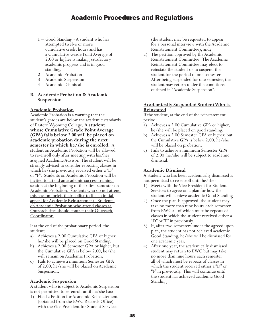- **<sup>1</sup>** Good Standing A student who has attempted twelve or more cumulative credit hours and has a Cumulative Grade Point Average of 2.00 or higher is making satisfactory academic progress and is in good standing.
- **2** Academic Probation
- **3** Academic Suspension
- **4** Academic Dismissal

# **B. Academic Probation & Academic Suspension**

# **Academic Probation**

Academic Probation is a warning that the student's grades are below the academic standards of Eastern Wyoming College. **A student whose Cumulative Grade Point Average (GPA) falls below 2.00 will be placed on academic probation during the next semester in which he/she is enrolled.** A student on Academic Probation will be allowed to re-enroll only after meeting with his/her assigned Academic Advisor. The student will be strongly advised to consider repeating classes in which he/she previously received either a "D" or "F". Students on Academic Probation will be invited to attend an academic success training session at the beginning of their first semester on Academic Probation. Students who do not attend this session forfeit their ability to file an initial appeal for Academic Reinstatement. Students on Academic Probation who attend classes at Outreach sites should contact their Outreach Coordinator.

If at the end of the probationary period, the student:

- a) Achieves a 2.00 Cumulative GPA or higher, he/she will be placed on Good Standing.
- b) Achieves a 2.00 Semester GPA or higher, but the Cumulative GPA is below 2.00, he/she will remain on Academic Probation.
- c) Fails to achieve a minimum Semester GPA of 2.00, he/she will be placed on Academic Suspension.

# **Academic Suspension**

A student who is subject to Academic Suspension is not permitted to re-enroll until he/she has:

1) Filed a Petition for Academic Reinstatement (obtained from the EWC Records Office) with the Vice President for Student Services

(the student may be requested to appear for a personal interview with the Academic Reinstatement Committee), and;

2) The petition approved by the Academic Reinstatement Committee. The Academic Reinstatement Committee may elect to reinstate the student or to suspend the student for the period of one semester. After being suspended for one semester, the student may return under the conditions outlined in "Academic Suspension".

# **Academically Suspended Student Who is Reinstated**

If the student, at the end of the reinstatement period:

- a) Achieves a 2.00 Cumulative GPA or higher, he/she will be placed on good standing.
- b) Achieves a 2.00 Semester GPA or higher, but the Cumulative GPA is below 2.00, he/she will be placed on probation.
- c) Fails to achieve a minimum Semester GPA of 2.00, he/she will be subject to academic dismissal.

# **Academic Dismissal**

A student who has been academically dismissed is not permitted to re-enroll until he/she:

- 1) Meets with the Vice President for Student Services to agree on a plan for how the student will achieve academic Good Standing.
- 2) Once the plan is approved, the student may take no more than nine hours each semester from EWC all of which must be repeats of classes in which the student received either a "D" or "F" in previously.
- 3) If, after two semesters under the agreed upon plan, the student has not achieved academic Good Standing, he/she will be dismissed for one academic year.
- 4) After one year, the academically dismissed student may return to EWC but may take no more than nine hours each semester all of which must be repeats of classes in which the student received either a "D" or "F" in previously. This will continue until the student has achieved academic Good Standing.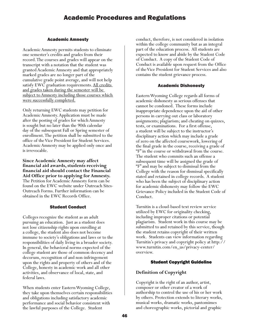# Academic Amnesty

Academic Amnesty permits students to eliminate one semester's credits and grades from their record. The courses and grades will appear on the transcript with a notation that the student was granted Academic Amnesty and that appropriately marked grades are no longer part of the cumulative grade point average, and will not help satisfy EWC graduation requirements. All credits and grades taken during the semester will be subject to Amnesty including those courses which were successfully completed.

Only returning EWC students may petition for Academic Amnesty. Application must be made after the posting of grades for which Amnesty is sought but no later than the 90th calendar day of the subsequent Fall or Spring semester of enrollment. The petition shall be submitted to the office of the Vice President for Student Services. Academic Amnesty may be applied only once and is irrevocable.

**Since Academic Amnesty may affect financial aid awards, students receiving financial aid should contact the Financial Aid Office prior to applying for Amnesty.**  The Petition for Academic Amnesty form can be found on the EWC website under Outreach Sites-Outreach Forms. Further information can be obtained in the EWC Records Office.

# Student Conduct

Colleges recognize the student as an adult pursuing an education. Just as a student does not lose citizenship rights upon enrolling at a college, the student also does not become immune to society's obligations and laws or to the responsibilities of daily living in a broader society. In general, the behavioral norms expected of the college student are those of common decency and decorum, recognition of and non-infringement upon the rights and property of others and of the College, honesty in academic work and all other activities, and observance of local, state, and federal laws.

When students enter Eastern Wyoming College, they take upon themselves certain responsibilities and obligations including satisfactory academic performance and social behavior consistent with the lawful purposes of the College. Student

conduct, therefore, is not considered in isolation within the college community but as an integral part of the education process. All students are expected to know and abide by the Student Code of Conduct. A copy of the Student Code of Conduct is available upon request from the Office of the Vice President for Student Services and also contains the student grievance process.

# Academic Dishonesty

Eastern Wyoming College regards all forms of academic dishonesty as serious offenses that cannot be condoned. These forms include inappropriate dependence upon the aid of other persons in carrying out class or laboratory assignments; plagiarism; and cheating on quizzes, tests, or examinations. For a first offense, a student will be subject to the instructor's disciplinary action which may include a grade of zero on the affected coursework, lowering of the final grade in the course, receiving a grade of "F" in the course or withdrawal from the course. The student who commits such an offense a subsequent time will be assigned the grade of "F" and may be subject to dismissal from the College with the reason for dismissal specifically stated and retained in college records. A student who has been the subject of disciplinary action for academic dishonesty may follow the EWC Grievance Policy included in the Student Code of Conduct.

Turnitin is a cloud-based text review service utilized by EWC for originality checking, including improper citations or potential plagiarism. Student work in this course may be submitted to and retained by this service, though the student retains copyright of their written work. Students can view information regarding Turnitin's privacy and copyright policy at http:// www.turnitin.com/en\_us/privacy-center/ overview.

# Student Copyright Guideline

# **Definition of Copyright**

Copyright is the right of an author, artist, composer or other creator of a work of authorship to control the use of his or her work by others. Protection extends to literary works, musical works, dramatic works, pantomimes and choreographic works, pictorial and graphic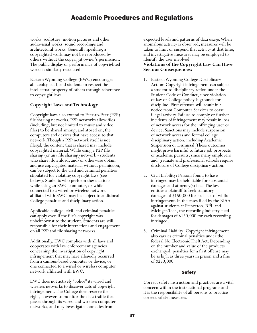works, sculpture, motion pictures and other audiovisual works, sound recordings and architectural works. Generally speaking, a copyrighted work may not be reproduced by others without the copyright owner's permission. The public display or performance of copyrighted works is similarly restricted.

Eastern Wyoming College (EWC) encourages all faculty, staff, and students to respect the intellectual property of others through adherence to copyright laws.

# **Copyright Laws and Technology**

Copyright laws also extend to Peer-to-Peer (P2P) file sharing networks. P2P networks allow files (including, but not limited to music and video files) to be shared among, and stored on, the computers and devices that have access to that network. Though a P2P network itself is not illegal, the content that is shared may include copyrighted material. While using a P2P file sharing (or any file sharing) network - students who share, download, and/or otherwise obtain and use copyrighted material without permission, can be subject to the civil and criminal penalties stipulated for violating copyright laws (see below). Students who perform these actions while using an EWC computer, or while connected to a wired or wireless network affiliated with EWC, may be subject to additional College penalties and disciplinary action.

Applicable college, civil, and criminal penalties can apply even if the file's copyright was unbeknownst to the student. Students are still responsible for their interactions and engagement on all P2P and file sharing networks.

Additionally, EWC complies with all laws and cooperates with law enforcement agencies concerning the investigation of copyright infringement that may have allegedly occurred from a campus-based computer or device, or one connected to a wired or wireless computer network affiliated with EWC.

EWC does not actively "police" its wired and wireless networks to discover acts of copyright infringement. The College does reserve the right, however, to monitor the data traffic that passes through its wired and wireless computer networks, and may investigate anomalies from

expected levels and patterns of data usage. When anomalous activity is observed, measures will be taken to limit or suspend that activity at that time, and investigative measures may be employed to identify the user involved.

# **Violations of the Copyright Law Can Have Serious Consequences:**

- 1. Eastern Wyoming College Disciplinary Action: Copyright infringement can subject a student to disciplinary action under the Student Code of Conduct, since violation of law or College policy is grounds for discipline. First offenses will result in a notice from Computer Services to cease illegal activity. Failure to comply or further incidents of infringement may result in loss of network access for the infringing user or device. Sanctions may include suspension of network access and formal college disciplinary action, including Academic Suspension or Dismissal. These outcomes might prove harmful to future job prospects or academic pursuits, since many employers and graduate and professional schools require disclosure of College disciplinary action.
- 2. Civil Liability: Persons found to have infringed may be held liable for substantial damages and attorney(s) fees. The law entitles a plaintiff to seek statutory damages of \$150,000 for each act of willful infringement. In the cases filed by the RIAA against students at Princeton, RPI, and Michigan Tech, the recording industry sued for damages of \$150,000 for each recording infringed.
- 3. Criminal Liability: Copyright infringement also carries criminal penalties under the federal No Electronic Theft Act. Depending on the number and value of the products exchanged, penalties for a first offense may be as high as three years in prison and a fine of \$250,000.

# Safety

Correct safety instruction and practices are a vital concern within the instructional programs and it is the responsibility of all persons to practice correct safety measures.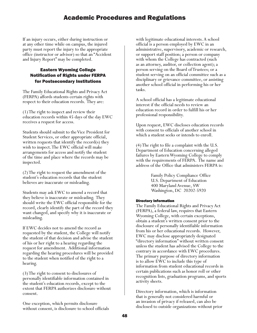If an injury occurs, either during instruction or at any other time while on campus, the injured party must report the injury to the appropriate office (instructor or advisor) so that an "Accident and Injury Report" may be completed.

# Eastern Wyoming College Notification of Rights under FERPA for Postsecondary Institutions

The Family Educational Rights and Privacy Act (FERPA) affords students certain rights with respect to their education records. They are:

(1) The right to inspect and review their education records within 45 days of the day EWC receives a request for access.

Students should submit to the Vice President for Student Services, or other appropriate official, written requests that identify the record(s) they wish to inspect. The EWC official will make arrangements for access and notify the student of the time and place where the records may be inspected.

(2) The right to request the amendment of the student's education records that the student believes are inaccurate or misleading.

Students may ask EWC to amend a record that they believe is inaccurate or misleading. They should write the EWC official responsible for the record, clearly identify the part of the record they want changed, and specify why it is inaccurate or misleading.

If EWC decides not to amend the record as requested by the student, the College will notify the student of that decision and advise the student of his or her right to a hearing regarding the request for amendment. Additional information regarding the hearing procedures will be provided to the student when notified of the right to a hearing.

(3) The right to consent to disclosures of personally identifiable information contained in the student's education records, except to the extent that FERPA authorizes disclosure without consent.

One exception, which permits disclosure without consent, is disclosure to school officials with legitimate educational interests. A school official is a person employed by EWC in an administrative, supervisory, academic or research, or support staff position; a person or company with whom the College has contracted (such as an attorney, auditor, or collection agent); a person serving on the Board of Trustees; or a student serving on an official committee such as a disciplinary or grievance committee, or assisting another school official in performing his or her tasks.

A school official has a legitimate educational interest if the official needs to review an education record in order to fulfill his or her professional responsibility.

Upon request, EWC discloses education records with consent to officials of another school in which a student seeks or intends to enroll.

(4) The right to file a complaint with the U.S. Department of Education concerning alleged failures by Eastern Wyoming College to comply with the requirements of FERPA. The name and address of the Office that administers FERPA is:

> Family Policy Compliance Office U.S. Department of Education 400 Maryland Avenue, SW Washington, DC 20202-5920

### Directory Information

The Family Educational Rights and Privacy Act (FERPA), a federal law, requires that Eastern Wyoming College, with certain exceptions, obtain a student's written consent prior to the disclosure of personally identifiable information from his or her educational records. However, EWC may disclose appropriately designated "directory information" without written consent unless the student has advised the College to the contrary in accordance with EWC procedures. The primary purpose of directory information is to allow EWC to include this type of information from student educational records in certain publications such as honor roll or other recognition lists, graduation programs, and sports activity sheets.

Directory information, which is information that is generally not considered harmful or an invasion of privacy if released, can also be disclosed to outside organizations without prior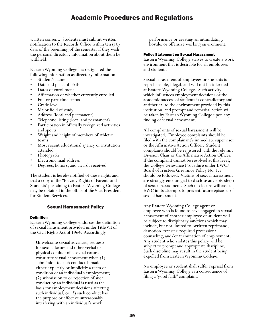written consent. Students must submit written notification to the Records Office within ten (10) days of the beginning of the semester if they wish the personal directory information about them be withheld.

Eastern Wyoming College has designated the following information as directory information:

- 
- 
- 
- Student's name<br>• Dates of enrollment<br>• Dates of enrollment<br>• Affirmation of whether currently enrolled<br>• Full or part-time status<br>• Grade level<br>• Major field of study<br>• Address (local and permanent)
- 
- 
- 
- 
- 
- Telephone listing (local and permanent) Participation in officially recognized activities
- and sports<br>Weight and height of members of athletic
- teams<br>Most recent educational agency or institution
- 
- 
- attended<br>• Photograph<br>• Electronic mail address<br>• Degrees, honors, and awards received

The student is hereby notified of these rights and that a copy of the "Privacy Rights of Parents and Students" pertaining to Eastern Wyoming College may be obtained in the office of the Vice President for Student Services.

### Sexual Harassment Policy

### Definition

Eastern Wyoming College endorses the definition of sexual harassment provided under Title VII of the Civil Rights Act of 1964. Accordingly,

Unwelcome sexual advances, requests for sexual favors and other verbal or physical conduct of a sexual nature constitute sexual harassment when (1) submission to such conduct is made either explicitly or implicitly a term or condition of an individual's employment; (2) submission to or rejection of such conduct by an individual is used as the basis for employment decisions affecting such individual; or (3) such conduct has the purpose or effect of unreasonably interfering with an individual's work

performance or creating an intimidating, hostile, or offensive working environment.

#### Policy Statement on Sexual Harassment

Eastern Wyoming College strives to create a work environment that is desirable for all employees and students.

Sexual harassment of employees or students is reprehensible, illegal, and will not be tolerated at Eastern Wyoming College. Such activity which influences employment decisions or the academic success of students is contradictory and antithetical to the environment provided by this institution, and prompt and remedial action will be taken by Eastern Wyoming College upon any finding of sexual harassment.

All complaints of sexual harassment will be investigated. Employee complaints should be filed with the complainant's immediate supervisor or the Affirmative Action Officer. Student complaints should be registered with the relevant Division Chair or the Affirmative Action Officer. If the complaint cannot be resolved at this level, the College Grievance Procedure under EWC/ Board of Trustees Grievance Policy No. 1.7 should be followed. Victims of sexual harassment are strongly encouraged to disclose any episode(s) of sexual harassment. Such disclosure will assist EWC in its attempts to prevent future episodes of sexual harassment.

Any Eastern Wyoming College agent or employee who is found to have engaged in sexual harassment of another employee or student will be subject to disciplinary sanctions which may include, but not limited to, written reprimand, demotion, transfer, required professional counseling, and/or termination of employment. Any student who violates this policy will be subject to prompt and appropriate discipline. Such discipline may result in the student being expelled from Eastern Wyoming College.

No employee or student shall suffer reprisal from Eastern Wyoming College as a consequence of filing a "good faith" complaint.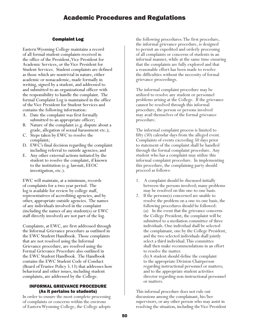### Complaint Log

Eastern Wyoming College maintains a record of all formal student complaints received in the office of the President, Vice President for Academic Services, or the Vice President for Student Services. Student complaints are defined as those which are nontrivial in nature, either academic or nonacademic, made formally in writing, signed by a student, and addressed to and submitted to an organizational officer with the responsibility to handle the complaint. The formal Complaint Log is maintained in the office of the Vice President for Student Services and contains the following information:

- Date the complaint was first formally submitted to an appropriate officer;
- B. Nature of the complaint (e.g. dispute about a grade, allegation of sexual harassment etc.);
- C. Steps taken by EWC to resolve the complaint;
- D. EWC's final decision regarding the complaint including referral to outside agencies; and
- E. Any other external actions initiated by the student to resolve the complaint, if known to the institution (e.g. lawsuit, EEOC investigation, etc.).

EWC will maintain, at a minimum, records of complaints for a two year period. The log is available for review by college staff, representatives of accrediting agencies, and by other, appropriate outside agencies. The names of any individuals involved in the complaint (including the names of any student(s) or EWC staff directly involved) are not part of the log.

Complaints, at EWC, are first addressed through the Informal Grievance procedure as outlined in the EWC Student Handbook. Those complaints that are not resolved using the Informal Grievance procedure, are resolved using the Formal Grievance Procedure also outlined in the EWC Student Handbook. The Handbook contains the EWC Student Code of Conduct (Board of Trustee Policy 5.13) that addresses how behavioral and other issues, including student complaints, are addressed by the College.

### INFORMAL GRIEVANCE PROCEDURE (As it pertains to students)

In order to ensure the most complete processing of complaints or concerns within the environs of Eastern Wyoming College, the College adopts

the following procedures: The first procedure, the informal grievance procedure, is designed to permit an expedited and orderly processing of all complaints or concerns of students in an informal manner, while at the same time ensuring that the complaints are fully explored and that a reasonable effort has been made to resolve the difficulties without the necessity of formal grievance proceedings.

The informal complaint procedure may be utilized to resolve any student or personnel problems arising at the College. If the grievance cannot be resolved through this informal procedure, the person or persons involved may avail themselves of the formal grievance procedure.

The informal complaint process is limited to fifty (50) calendar days from the alleged event. Complaints of events exceeding 50 days prior to statement of the complaint shall be handled through the formal complaint procedure. Any student who has a complaint may utilize this informal complaint procedure. In implementing this procedure, the complaining party should proceed as follows:

- 1. A complaint should be discussed initially between the persons involved; many problems may be resolved on this one-to-one basis.
- 2. If the persons(s) concerned are unable to resolve the problem on a one-to-one basis, the following procedures should be followed: (a) In the event that the grievance concerns the College President, the complaint will be submitted to a mediation committee of three individuals. One individual shall be selected the complainant, one by the College President, and the two selected individuals shall jointly select a third individual. This committee shall then make recommendations in an effort to resolve the matter.

(b) A student should define the complaint to the appropriate Division Chairperson regarding instructional personnel or matters; and to the appropriate student activities director regarding non-instructional personnel or matters.

This informal procedure does not rule out discussions among the complainant, his/her supervisors, or any other person who may assist in resolving the situation, including the Vice President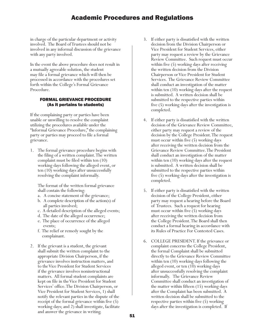in charge of the particular department or activity involved. The Board of Trustees should not be involved in any informal discussion of the grievance with any party involved.

In the event the above procedure does not result in a mutually agreeable solution, the student may file a formal grievance which will then be processed in accordance with the procedures set forth within the College's Formal Grievance Procedure.

### FORMAL GRIEVANCE PROCEDURE (As it pertains to students)

If the complaining party or parties have been unable or unwilling to resolve the complaint utilizing the procedures available under the "Informal Grievance Procedure," the complaining party or parties may proceed to file a formal grievance.

1. The formal grievance procedure begins with the filing of a written complaint. The written complaint must be filed within ten (10) working days following the alleged event, or ten (10) working days after unsuccessfully resolving the complaint informally.

The format of the written formal grievance shall contain the following:

- a. A concise statement of the grievance;
- b. A complete description of the action(s) of all parties involved;
- c. A detailed description of the alleged events;
- d. The date of the alleged occurrence;
- e. The place of occurrence of the alleged events;
- f. The relief or remedy sought by the complainant.
- 2. If the grievant is a student, the grievant shall submit the written complaint to the appropriate Division Chairperson, if the grievance involves instruction matters, and to the Vice President for Student Services if the grievance involves noninstructional matters. All formal student complaints are kept on file in the Vice President for Student Services' office. The Division Chairperson, or Vice President for Student Services, 1) shall notify the relevant parties in the dispute of the receipt of the formal grievance within five (5) working days; and 2) shall investigate, facilitate and answer the grievance in writing.
- 3. If either party is dissatisfied with the written decision from the Division Chairperson or Vice President for Student Services, either party may request a review by the Grievance Review Committee. Such request must occur within five (5) working days after receiving the written decision from the Division Chairperson or Vice President for Student Services. The Grievance Review Committee shall conduct an investigation of the matter within ten (10) working days after the request is submitted. A written decision shall be submitted to the respective parties within five (5) working days after the investigation is completed.
- 4. If either party is dissatisfied with the written decision of the Grievance Review Committee, either party may request a review of the decision by the College President. The request must occur within five (5) working days after receiving the written decision from the Grievance Review Committee. The President shall conduct an investigation of the matter within ten  $(10)$  working days after the request is submitted. A written decision shall be submitted to the respective parties within five (5) working days after the investigation is completed.
- 5. If either party is dissatisfied with the written decision of the College President, either party may request a hearing before the Board of Trustees. Such a request for hearing must occur within five (5) working days after receiving the written decision from the College President. The Board shall then conduct a formal hearing in accordance with its Rules of Practice For Contested Cases.
- 6. COLLEGE PRESIDENT. If the grievance or complaint concerns the College President, the formal Complaint shall be submitted directly to the Grievance Review Committee within ten (10) working days following the alleged event, or ten (10) working days after unsuccessfully resolving the complaint informally. The Grievance Review Committee shall conduct an investigation of the matter within fifteen (15) working days after the Complaint has been submitted. A written decision shall be submitted to the respective parties within five (5) working days after the investigation is completed. If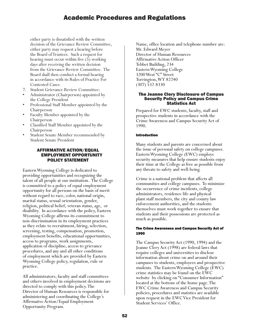either party is dissatisfied with the written decision of the Grievance Review Committee, either party may request a hearing before the Board of Trustees. Such a request for hearing must occur within five (5) working days after receiving the written decision from the Grievance Review Committee. The Board shall then conduct a formal hearing in accordance with its Rules of Practice For Contested Cases.

- 
- 7. Student Grievance Review Committee: Administrator (Chairperson) appointed by
- the College President<br>• Professional Staff Member appointed by the
- Chairperson<br>• Faculty Member appointed by the
- Chairperson<br>• Classified Staff Member appointed by the
- Chairperson<br>
Student Senate Member recommended by Student Senate President

### AFFIRMATIVE ACTION/EQUAL EMPLOYMENT OPPORTUNITY POLICY STATEMENT

Eastern Wyoming College is dedicated to providing opportunities and recognizing the talent of all people at our institution. The College is committed to a policy of equal employment opportunity for all persons on the basis of merit without regard to race, color, national origin, marital status, sexual orientation, gender, religion, political belief, veteran status, age, or disability. In accordance with the policy, Eastern Wyoming College affirms its commitment to non-discrimination in its employment practices as they relate to recruitment, hiring, selection, screening, testing, compensation, promotion, employment benefits, educational opportunities, access to programs, work assignments, application of discipline, access to grievance procedures, and any and all other conditions of employment which are provided by Eastern Wyoming College policy, regulation, rule or practice.

All administrators, faculty and staff committees and others involved in employment decisions are directed to comply with this policy. The Director of Human Resources is responsible for administering and coordinating the College's Affirmative Action/Equal Employment Opportunity Program.

Name, office location and telephone number are: Mr. Edward Meyer Director of Human Resources Affirmative Action Officer Tebbet Building, 234 Eastern Wyoming College 3200 West "C" Street Torrington, WY 82240 (307) 532-8330

### The Jeanne Clery Disclosure of Campus Security Policy and Campus Crime Statistics Act

Prepared for EWC students, faculty, staff and prospective students in accordance with the Crime Awareness and Campus Security Act of 1990.

### Introduction

Many students and parents are concerned about the issue of personal safety on college campuses. Eastern Wyoming College (EWC) employs security measures that help ensure students enjoy their time at the College as free as possible from any threats to safety and well-being.

Crime is a national problem that affects all communities and college campuses. To minimize the occurrence of crime incidents, college administrators, residence life and physical plant staff members, the city and county law enforcement authorities, and the students themselves must work together to ensure that students and their possessions are protected as much as possible.

### The Crime Awareness and Campus Security Act of 1990

The Campus Security Act (1990, 1994) and the Jeanne Clery Act (1998) are federal laws that require colleges and universities to disclose information about crime on and around their campuses to students, employees and prospective students. The Eastern Wyoming College (EWC) crime statistics may be found on the EWC website by clicking on "Consumer Information" located at the bottom of the home page. The EWC Crime Awareness and Campus Security policies, procedures and statistics are available upon request in the EWC Vice President for Student Services' Office.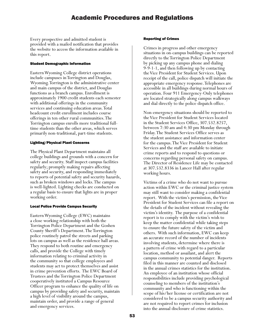Every prospective and admitted student is provided with a mailed notification that provides the website to access the information available in this report.

### Student Demographic Information

Eastern Wyoming College district operations include campuses in Torrington and Douglas, Wyoming. Torrington is the administrative center and main campus of the district, and Douglas functions as a branch campus. Enrollment is approximately 1900 credit students each semester with additional offerings in the community services and continuing education areas. Total headcount credit enrollment includes course offerings in ten other rural communities. The Torrington campus enrolls more traditional fulltime students than the other areas, which serves primarily non-traditional, part-time students.

### Lighting/Physical Plant Concerns

The Physical Plant Department maintains all college buildings and grounds with a concern for safety and security. Staff inspect campus facilities regularly; promptly making repairs affecting safety and security, and responding immediately to reports of potential safety and security hazards, such as broken windows and locks. The campus is well-lighted. Lighting checks are conducted on a regular basis to ensure that lights are in proper working order.

### Local Police Provide Campus Security

Eastern Wyoming College (EWC) maintains a close working relationship with both the Torrington Police Department and the Goshen County Sheriff's Department. The Torrington police routinely patrol the streets and parking lots on campus as well as the residence hall areas. They respond to both routine and emergency calls, and provide the College with timely information relating to criminal activity in the community so that college employees and students may act to protect themselves and assist in crime prevention efforts. The EWC Board of Trustees and the Torrington Police Department cooperatively instituted a Campus Resource Officer program to enhance the quality of life on campus by providing safety and security, maintain a high level of visibility around the campus, maintain order, and provide a range of general and emergency services.

#### Reporting of Crimes

Crimes in progress and other emergency situations in on-campus buildings can be reported directly to the Torrington Police Department by picking up any campus phone and dialing 9-9-1-1, and then following up by contacting the Vice President for Student Services. Upon receipt of the call, police dispatch will initiate the appropriate emergency response. Telephones are accessible in all buildings during normal hours of operation. Four 911 Emergency-Only telephones are located strategically along campus walkways and dial directly to the police dispatch office.

Non-emergency situations should be reported to the Vice President for Student Services located in the Student Services Office, 307.532.8257, between 7:30 am and 4:30 pm Monday through Friday. The Student Services Office serves as the student assistance and information center for the campus. The Vice President for Student Services and the staff are available to initiate crime reports and to respond to questions or concerns regarding personal safety on campus. The Director of Residence Life may be contacted at 307.532.8336 in Lancer Hall after regular working hours.

Victims of a crime who do not want to pursue action within EWC or the criminal justice system may still want to consider making a confidential report. With the victim's permission, the Vice President for Student Services can file a report on the details of the incident without revealing the victim's identity. The purpose of a confidential report is to comply with the victim's wish to keep the matter confidential while taking steps to ensure the future safety of the victim and others. With such information, EWC can keep an accurate record of the number of incidents involving students, determine where there is a pattern of crime with regard to a particular location, method or assailant, and alert the campus community to potential danger. Reports filed in this manner are counted and disclosed in the annual crimes statistics for the institution. An employee of an institution whose official responsibilities include providing psychological counseling to members of the institution's community and who is functioning within the scope of his/her license or certification are not considered to be a campus security authority and are not required to report crimes for inclusion into the annual disclosure of crime statistics.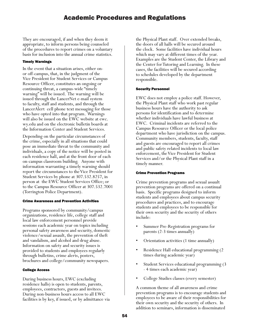They are encouraged, if and when they deem it appropriate, to inform persons being counseled of the procedures to report crimes on a voluntary basis for inclusion into the annual crime statistics.

# Timely Warnings

In the event that a situation arises, either onor off-campus, that, in the judgment of the Vice President for Student Services or Campus Resource Officer, constitutes an ongoing or continuing threat, a campus-wide "timely warning" will be issued. The warning will be issued through the LancerNet e-mail system to faculty, staff and students, and through the LancerAlert cell phone text messaging for those who have opted into that program. Warnings will also be issued on the EWC website at ewc. wy.edu and on the electronic bulletin boards at the Information Center and Student Services.

Depending on the particular circumstances of the crime, especially in all situations that could pose an immediate threat to the community and individuals, a copy of the notice will be posted in each residence hall, and at the front door of each on-campus classroom building. Anyone with information warranting a timely warning should report the circumstances to the Vice President for Student Services by phone at 307.532.8257, in person at the EWC Student Services Office; or to the Campus Resource Officer at 307.532.7001 (Torrington Police Department).

### Crime Awareness and Prevention Activities

Programs sponsored by community/campus organizations, residence life, college staff and local law enforcement personnel provide sessions each academic year on topics including personal safety awareness and security, domestic violence/sexual assault, the prevention of theft and vandalism, and alcohol and drug abuse. Information on safety and security issues is provided to students and employees regularly through bulletins, crime alerts, posters, brochures and college/community newspapers.

# College Access

During business hours, EWC (excluding residence halls) is open to students, parents, employees, contractors, guests and invitees. During non-business hours access to all EWC facilities is by key, if issued, or by admittance via the Physical Plant staff. Over extended breaks, the doors of all halls will be secured around the clock. Some facilities have individual hours which may vary at different times of the year. Examples are the Student Center, the Library and the Center for Tutoring and Learning. In these cases, the facilities will be secured according to schedules developed by the department responsible.

# Security Personnel

EWC does not employ a police staff. However, the Physical Plant staff who work past regular business hours have the authority to ask persons for identification and to determine whether individuals have lawful business at EWC. Criminal incidents are referred to the Campus Resource Officer or the local police department who have jurisdiction on the campus. Community members, students, faculty, staff and guests are encouraged to report all crimes and public safety related incidents to local law enforcement, the Vice President for Student Services and/or the Physical Plant staff in a timely manner.

### Crime Prevention Programs

Crime prevention programs and sexual assault prevention programs are offered on a continual basis. Specific programs designed to inform students and employees about campus security procedures and practices, and to encourage students and employees to be responsible for their own security and the security of others include:

- Summer Pre-Registration programs for parents (2-3 times annually)
- Orientation activities (1 time annually)
- Residence Hall educational programming (2 times during academic year)
- Student Services educational programming (3 - 4 times each academic year)
- College Studies classes (every semester)

A common theme of all awareness and crime prevention programs is to encourage students and employees to be aware of their responsibilities for their own security and the security of others. In addition to seminars, information is disseminated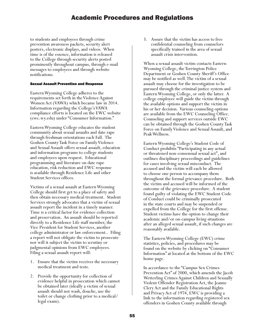to students and employees through crime prevention awareness packets, security alert posters, electronic displays, and videos. When time is of the essence, information is released to the College through security alerts posted prominently throughout campus, through e-mail messages to employees and through website notifications.

### Sexual Assault Prevention and Response

Eastern Wyoming College adheres to the requirements set forth in the Violence Against Women Act (VAWA) which became law in 2014. Information regarding the College's VAWA compliance efforts is located on the EWC website (ewc.wy.edu) under "Consumer Information."

Eastern Wyoming College educates the student community about sexual assaults and date rape through freshman orientations each Fall. The Goshen County Task Force on Family Violence and Sexual Assault offers sexual assault, education and information programs to college students and employees upon request. Educational programming and literature on date rape education, risk reduction and EWC response is available through Residence Life and other Student Services offices.

Victims of a sexual assault at Eastern Wyoming College should first get to a place of safety and then obtain necessary medical treatment. Student Services strongly advocates that a victim of sexual assault report the incident in a timely manner. Time is a critical factor for evidence collection and preservation. An assault should be reported directly to a Residence Life staff member, the Vice President for Student Services, another college administrator or law enforcement.. Filing a report will not obligate the victim to prosecute nor will it subject the victim to scrutiny or judgmental opinions from EWC employees. Filing a sexual assault report will:

- 1. Ensure that the victim receives the necessary medical treatment and tests.
- 2. Provide the opportunity for collection of evidence helpful in prosecution which cannot be obtained later (ideally a victim of sexual assault should not wash, douche, use the toilet or change clothing prior to a medical/ legal exam).

3. Assure that the victim has access to free confidential counseling from counselors specifically trained in the area of sexual assault crisis intervention.

When a sexual assault victim contacts Eastern Wyoming College, the Torrington Police Department or Goshen County Sheriff's Office may be notified as well. The victim of a sexual assault may choose for the investigation to be pursued through the criminal justice system and Eastern Wyoming College, or only the latter. A college employee will guide the victim through the available options and support the victim in his or her decision. Various counseling options are available from the EWC Counseling Office. Counseling and support services outside EWC can be obtained through the Goshen County Task Force on Family Violence and Sexual Assault, and Peak Wellness.

Eastern Wyoming College's Student Code of Conduct prohibits "Participating in any actual or threatened non-consensual sexual act", and outlines disciplinary proceedings and guidelines for cases involving sexual misconduct. The accused and the victim will each be allowed to choose one person to accompany them throughout the formal grievance procedure. Both the victim and accused will be informed of the outcome of the grievance procedure. A student found guilty of violating the EWC Student Code of Conduct could be criminally prosecuted in the state courts and may be suspended or expelled from the College for the first offense. Student victims have the option to change their academic and/or on-campus living situations after an alleged sexual assault, if such changes are reasonably available.

The Eastern Wyoming College (EWC) crime statistics, policies, and procedures may be found on the website by clicking on "Consumer Information" at located at the bottom of the EWC home page.

In accordance to the "Campus Sex Crimes Prevention Act" of 2000, which amends the Jacob Wetterling Crimes Against Children and Sexually Violent Offender Registration Act, the Jeanne Clery Act and the Family Educational Rights and Privacy Act of 1974, EWC is providing a link to the information regarding registered sex offenders in Goshen County available through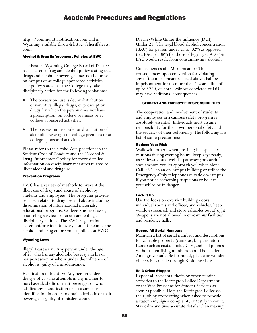http://communitynotification.com and in Wyoming available through http://sheriffalerts. com.

### Alcohol & Drug Enforcement Policies at EWC

The Eastern Wyoming College Board of Trustees has enacted a drug and alcohol policy stating that drugs and alcoholic beverages may not be present on campus or at college-sponsored activities. The policy states that the College may take disciplinary action for the following violations:

- The possession, use, sale, or distribution of narcotics, illegal drugs, or prescription drugs for which the person does not have a prescription, on college premises or at college-sponsored activities.
- The possession, use, sale, or distribution of alcoholic beverages on college premises or at college-sponsored activities.

Please refer to the alcohol/drug sections in the Student Code of Conduct and the "Alcohol & Drug Enforcement" policy for more detailed information on disciplinary measures related to illicit alcohol and drug use.

### Prevention Programs

EWC has a variety of methods to prevent the illicit use of drugs and abuse of alcohol by students and employees. The programs provide services related to drug use and abuse including dissemination of informational materials, educational programs, College Studies classes, counseling services, referrals and college disciplinary actions. The EWC registration statement provided to every student includes the alcohol and drug enforcement policies at EWC.

### Wyoming Laws

Illegal Possession: Any person under the age of 21 who has any alcoholic beverage in his or her possession or who is under the influence of alcohol is guilty of a misdemeanor.

Falsification of Identity: Any person under the age of 21 who attempts in any manner to purchase alcoholic or malt beverages or who falsifies any identification or uses any false identification in order to obtain alcoholic or malt beverages is guilty of a misdemeanor.

Driving While Under the Influence (DUI) – Under 21: The legal blood alcohol concentration (BAC) for person under 21 is .02% as opposed to a BAC of .08% for those of legal age. A .02% BAC would result from consuming any alcohol.

Consequences of a Misdemeanor: The consequences upon conviction for violating any of the misdemeanors listed above shall be imprisonment for no more than 1 year, a fine of up to \$750, or both. Minors convicted of DUI may have additional consequences.

### STUDENT AND EMPLOYEE RESPONSIBILITIES

The cooperation and involvement of students and employees in a campus safety program is absolutely essential. Individuals must assume responsibility for their own personal safety and the security of their belongings. The following is a list of some precautions:

### Reduce Your Risk

Walk with others when possible; be especially cautious during evening hours; keep keys ready, use sidewalks and well-lit pathways; be careful about whom you let approach you when alone. Call 9-911 in an on-campus building or utilize the Emergency-Only telephones outside on-campus if you notice something suspicious or believe yourself to be in danger.

### Lock It Up

Use the locks on exterior building doors, individual rooms and offices, and vehicles; keep windows secured; and store valuables out of sight. Weapons are not allowed in on-campus facilities and residence halls.

#### Record All Serial Numbers

Maintain a list of serial numbers and descriptions for valuable property (cameras, bicycles, etc.) Items such as coats, books, CDs, and cell phones without identifying numbers should be labeled. An engraver suitable for metal, plastic or wooden objects is available through Residence Life.

### Be A Crime Stopper

Report all accidents, thefts or other criminal activities to the Torrington Police Department or the Vice President for Student Services as soon as possible. Help the Torrington Police do their job by cooperating when asked to provide a statement, sign a complaint, or testify in court. Stay calm and give accurate details when making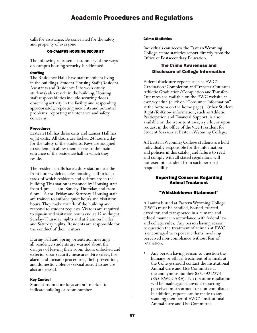calls for assistance. Be concerned for the safety and property of everyone.

### ON-CAMPUS HOUSING SECURITY

The following represents a summary of the ways on-campus housing security is addressed:

### **Staffing**

The Residence Halls have staff members living in the buildings. Student Housing Staff (Resident Assistants and Residence Life work-study students) also reside in the building. Housing staff responsibilities include securing doors, observing activity in the facility and responding appropriately, reporting incidents and potential problems, reporting maintenance and safety concerns.

### Procedures

Eastern Hall has three exits and Lancer Hall has eight exits. All doors are locked 24 hours a day for the safety of the students. Keys are assigned to students to allow them access to the main entrance of the residence hall in which they reside.

The residence halls have a duty station near the front door which enables housing staff to keep track of which residents and visitors are in the building. This station is manned by Housing staff from 4 pm – 2 am, Sunday-Thursday, and from 6 pm – 6 am, Friday and Saturday. Housing staff are trained to enforce quiet hours and visitation hours. They make rounds of the building and respond to student requests. Visitors are required to sign-in and visitation hours end at 12 midnight Sunday-Thursday nights and at 2 am on Friday and Saturday nights. Residents are responsible for the conduct of their visitors.

During Fall and Spring orientation meetings all residence students are warned about the dangers of leaving their room doors unlocked and exterior door security measures. Fire safety, fire alarm and tornado procedures, theft prevention, and domestic violence/sexual assault issues are also addressed.

### Key Control

Student room door keys are not marked to indicate building or room number.

#### Crime Statistics

Individuals can access the Eastern Wyoming College crime statistics report directly from the Office of Postsecondary Education.

### The Crime Awareness and Disclosure of College Information

Federal disclosure reports such as EWC's Graduation/Completion and Transfer-Out rates, Athletic Graduation/Completion and Transfer-Out rates are available on the EWC website at ewc.wy.edu/ (click on "Consumer Information" at the bottom on the home page). Other Student Right-To-Know information, such as Athletic Participation and Financial Support, is also available on the website at ewc.wy.edu, or upon request in the office of the Vice President for Student Services at Eastern Wyoming College.

All Eastern Wyoming College students are held individually responsible for the information and policies in this catalog and failure to read and comply with all stated regulations will not exempt a student from such personal responsibility.

Student Responsibility

### Reporting Concerns Regarding Animal Treatment

### "Whistleblower Statement"

All animals used at Eastern Wyoming College (EWC) must be handled, housed, treated, cared for, and transported in a humane and ethical manner in accordance with federal law and college rules. Any person having reason to question the treatment of animals at EWC is encouraged to report incidents involving perceived non-compliance without fear of retaliation.

• Any person having reason to question the humane or ethical treatment of animals at the College should contact the Institutional Animal Care and Use Committee at the anonymous number 855.392.2273 (855-EWCCARE). No threat or retaliation will be made against anyone reporting perceived mistreatment or non-compliance. In addition, reports can be made to any standing member of EWC's Institutional Animal Care and Use Committee.